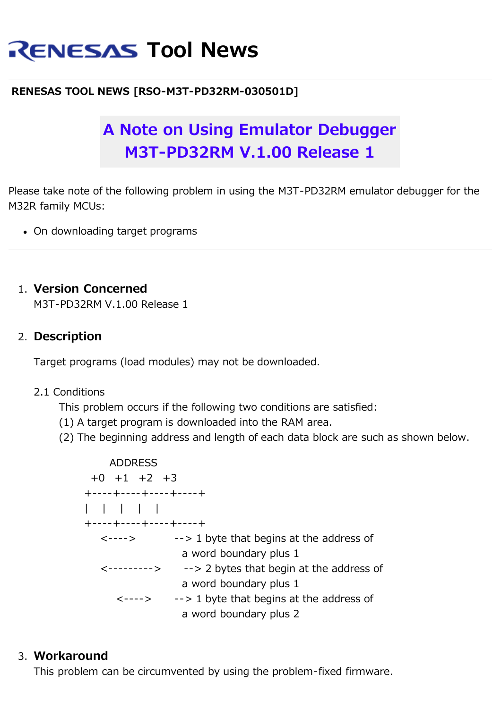# **RENESAS Tool News**

# **RENESAS TOOL NEWS [RSO-M3T-PD32RM-030501D]**

# **A Note on Using Emulator Debugger M3T-PD32RM V.1.00 Release 1**

Please take note of the following problem in using the M3T-PD32RM emulator debugger for the M32R family MCUs:

On downloading target programs

#### 1. **Version Concerned**

M3T-PD32RM V.1.00 Release 1

# 2. **Description**

Target programs (load modules) may not be downloaded.

#### 2.1 Conditions

This problem occurs if the following two conditions are satisfied:

- (1) A target program is downloaded into the RAM area.
- (2) The beginning address and length of each data block are such as shown below.



#### 3. **Workaround**

This problem can be circumvented by using the problem-fixed firmware.